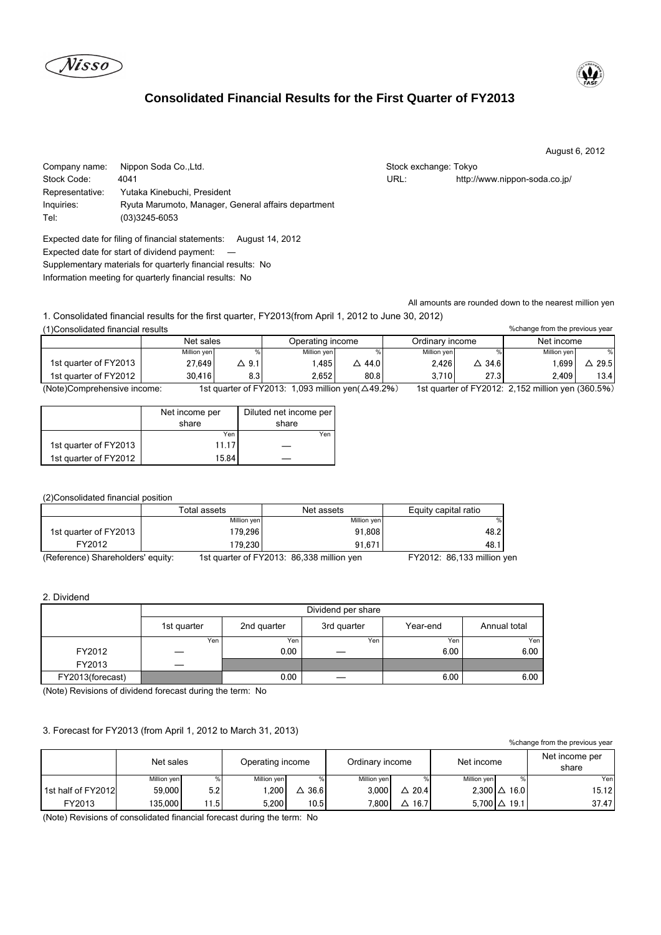lisso

Tel: (03)3245-6053

# **Consolidated Financial Results for the First Quarter of FY2013**



August 6, 2012

| Company name:   | Nippon Soda Co.,Ltd.                                | Stock exchange: Tokyo |                               |
|-----------------|-----------------------------------------------------|-----------------------|-------------------------------|
| Stock Code:     | 4041                                                | URL:                  | http://www.nippon-soda.co.jp/ |
| Representative: | Yutaka Kinebuchi, President                         |                       |                               |
| Inquiries:      | Ryuta Marumoto, Manager, General affairs department |                       |                               |

Expected date for filing of financial statements: August 14, 2012 Expected date for start of dividend payment: ― Supplementary materials for quarterly financial results: No Information meeting for quarterly financial results: No

All amounts are rounded down to the nearest million yen

1. Consolidated financial results for the first quarter, FY2013(from April 1, 2012 to June 30, 2012) (1)Consolidated financial results

| (1) Consolidated financial results<br>% change from the previous year |             |       |                                                                  |        |                 |                |                                                        |      |
|-----------------------------------------------------------------------|-------------|-------|------------------------------------------------------------------|--------|-----------------|----------------|--------------------------------------------------------|------|
|                                                                       | Net sales   |       | Operating income                                                 |        | Ordinary income |                | Net income                                             |      |
|                                                                       | Million yen |       | Million ven                                                      |        | Million ven     |                | Million ven                                            | $\%$ |
| 1st quarter of FY2013                                                 | 27.649      | △ 9.1 | .485                                                             | △ 44.0 | 2.426           | $\Delta$ 34.61 | .699                                                   | 29.5 |
| 1st quarter of FY2012                                                 | 30.416      | 8.3   | 2.652                                                            | 80.8   | 3.710           | 27.3           | 2.409                                                  | 13.4 |
| (Note)Comprehensive income:                                           |             |       | 1st quarter of $EY2013: 1.093$ million ven( $\triangle A9.206$ ) |        |                 |                | 1st quarter of $EY2012: 2.152$ million ven $(360.5\%)$ |      |

(Note)Comprehensive income: 1st quarter of FY2013: 1,093 million yen(△49.2%) 1st quarter of FY2012: 2,152 million yen (360.5%)

|                       | Net income per | Diluted net income per |  |  |
|-----------------------|----------------|------------------------|--|--|
|                       | share          | share                  |  |  |
|                       | Yen            | Yen                    |  |  |
| 1st quarter of FY2013 | 11.17          |                        |  |  |
| 1st quarter of FY2012 | 15.84          |                        |  |  |

# (2)Consolidated financial position

|                                  | Total assets | Net assets                                     | Equity capital ratio       |
|----------------------------------|--------------|------------------------------------------------|----------------------------|
|                                  | Million yen  | Million yen                                    |                            |
| 1st quarter of FY2013            | 179.2961     | 91.808                                         | 48.2                       |
| FY2012                           | 79.230       | 91.671                                         | 48.                        |
| (Beference) Charabolders' equity |              | $1$ of quarter of EV2012: $06.220$ million von | $EVO019.02422$ million $W$ |

(Reference) Shareholders' equity: 1st quarter of FY2013: 86,338 million yen FY2012: 86,133 million yen

### 2. Dividend

|                  | Dividend per share |             |             |          |              |  |  |
|------------------|--------------------|-------------|-------------|----------|--------------|--|--|
|                  | 1st quarter        | 2nd quarter | 3rd quarter | Year-end | Annual total |  |  |
|                  | Yen.               | Yen         | Yen         | Yen      | Yen          |  |  |
| FY2012           |                    | 0.00        |             | 6.00     | 6.00         |  |  |
| FY2013           |                    |             |             |          |              |  |  |
| FY2013(forecast) |                    | 0.00        |             | 6.00     | 6.00         |  |  |

(Note) Revisions of dividend forecast during the term: No

## 3. Forecast for FY2013 (from April 1, 2012 to March 31, 2013)

| % change from the previous year |             |      |                  |       |                 |                  |             |                     |                         |
|---------------------------------|-------------|------|------------------|-------|-----------------|------------------|-------------|---------------------|-------------------------|
|                                 | Net sales   |      | Operating income |       | Ordinary income |                  | Net income  |                     | Net income per<br>share |
|                                 | Million yen |      | Million yen      | $\%$  | Million yen     |                  | Million yen | %.                  | Yen                     |
| 1st half of FY2012              | 59.000      | 5.2  | .200             | 36.6  | 3.000           | $\triangle$ 20.4 |             | $2.300 \Delta 16.0$ | 15.12                   |
| FY2013                          | 135.000     | 11.5 | 5.200            | 10.51 | 7.800           | $\triangle$ 16.7 |             | $5.700 \Delta 19.1$ | 37.47                   |

(Note) Revisions of consolidated financial forecast during the term: No